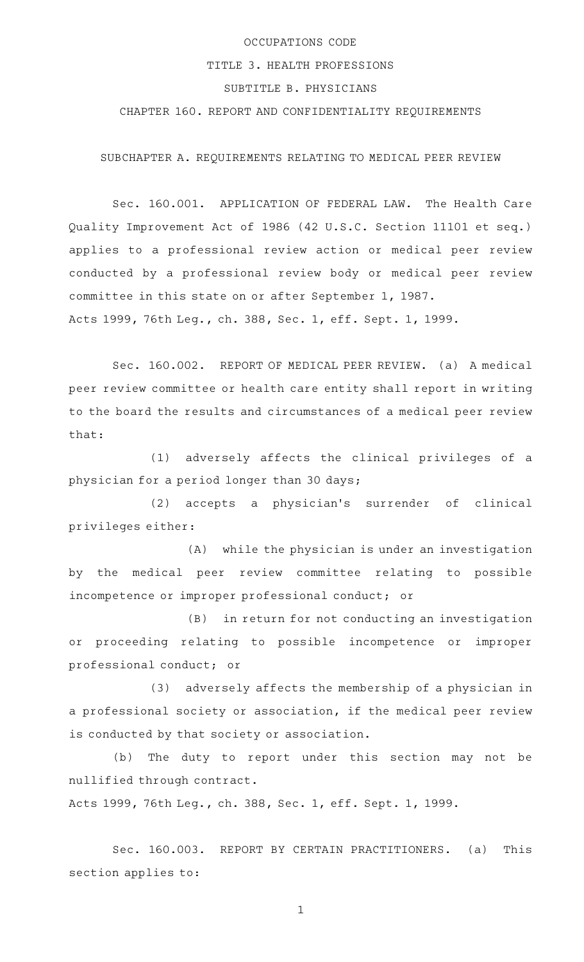## OCCUPATIONS CODE TITLE 3. HEALTH PROFESSIONS SUBTITLE B. PHYSICIANS CHAPTER 160. REPORT AND CONFIDENTIALITY REQUIREMENTS

SUBCHAPTER A. REQUIREMENTS RELATING TO MEDICAL PEER REVIEW

Sec. 160.001. APPLICATION OF FEDERAL LAW. The Health Care Quality Improvement Act of 1986 (42 U.S.C. Section 11101 et seq.) applies to a professional review action or medical peer review conducted by a professional review body or medical peer review committee in this state on or after September 1, 1987. Acts 1999, 76th Leg., ch. 388, Sec. 1, eff. Sept. 1, 1999.

Sec. 160.002. REPORT OF MEDICAL PEER REVIEW. (a) A medical peer review committee or health care entity shall report in writing to the board the results and circumstances of a medical peer review that:

(1) adversely affects the clinical privileges of a physician for a period longer than 30 days;

(2) accepts a physician's surrender of clinical privileges either:

(A) while the physician is under an investigation by the medical peer review committee relating to possible incompetence or improper professional conduct; or

(B) in return for not conducting an investigation or proceeding relating to possible incompetence or improper professional conduct; or

 $(3)$  adversely affects the membership of a physician in a professional society or association, if the medical peer review is conducted by that society or association.

(b) The duty to report under this section may not be nullified through contract.

Acts 1999, 76th Leg., ch. 388, Sec. 1, eff. Sept. 1, 1999.

Sec. 160.003. REPORT BY CERTAIN PRACTITIONERS. (a) This section applies to: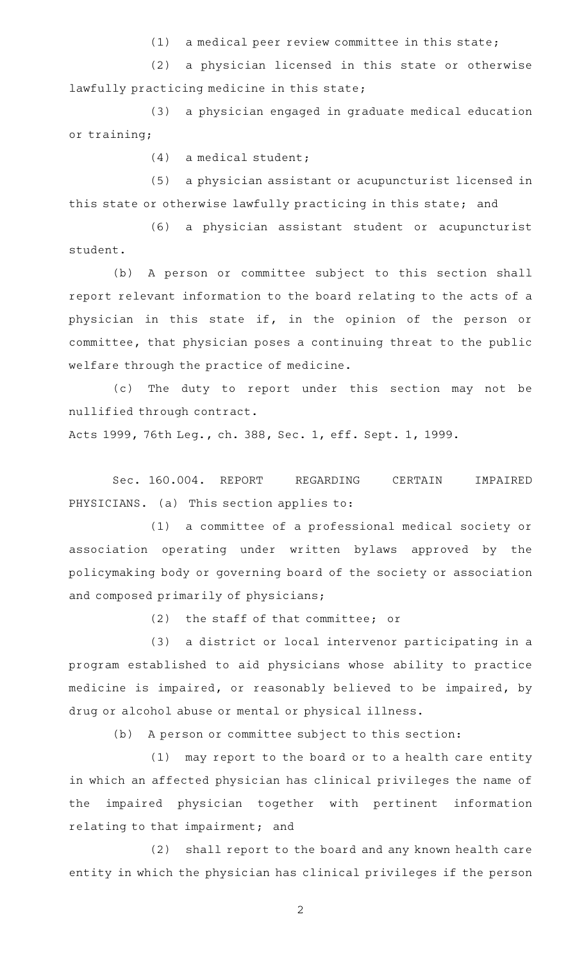$(1)$  a medical peer review committee in this state;

(2) a physician licensed in this state or otherwise lawfully practicing medicine in this state;

(3) a physician engaged in graduate medical education or training;

 $(4)$  a medical student;

(5) a physician assistant or acupuncturist licensed in this state or otherwise lawfully practicing in this state; and

(6) a physician assistant student or acupuncturist student.

(b) A person or committee subject to this section shall report relevant information to the board relating to the acts of a physician in this state if, in the opinion of the person or committee, that physician poses a continuing threat to the public welfare through the practice of medicine.

(c) The duty to report under this section may not be nullified through contract.

Acts 1999, 76th Leg., ch. 388, Sec. 1, eff. Sept. 1, 1999.

Sec. 160.004. REPORT REGARDING CERTAIN IMPAIRED PHYSICIANS. (a) This section applies to:

(1) a committee of a professional medical society or association operating under written bylaws approved by the policymaking body or governing board of the society or association and composed primarily of physicians;

 $(2)$  the staff of that committee; or

(3) a district or local intervenor participating in a program established to aid physicians whose ability to practice medicine is impaired, or reasonably believed to be impaired, by drug or alcohol abuse or mental or physical illness.

(b) A person or committee subject to this section:

(1) may report to the board or to a health care entity in which an affected physician has clinical privileges the name of the impaired physician together with pertinent information relating to that impairment; and

(2) shall report to the board and any known health care entity in which the physician has clinical privileges if the person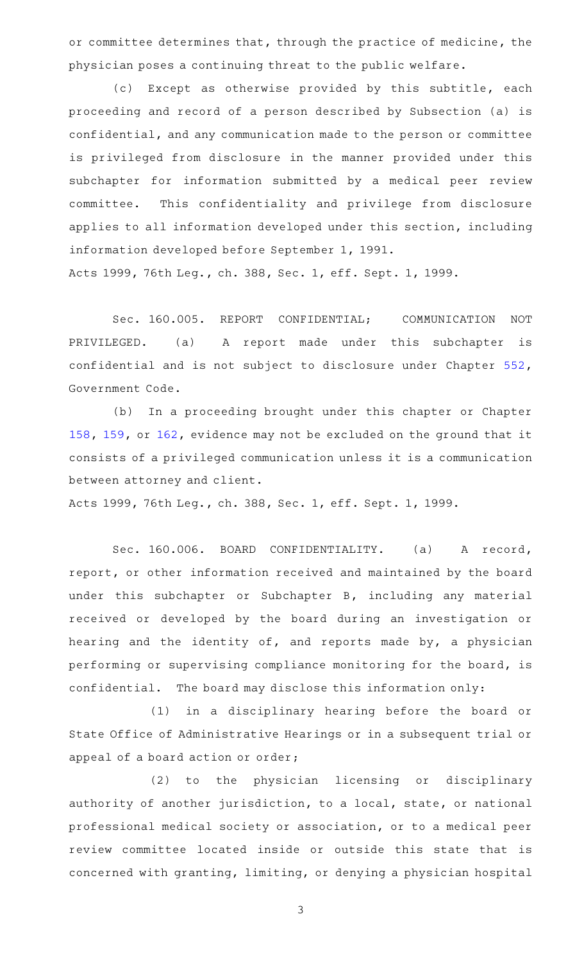or committee determines that, through the practice of medicine, the physician poses a continuing threat to the public welfare.

(c) Except as otherwise provided by this subtitle, each proceeding and record of a person described by Subsection (a) is confidential, and any communication made to the person or committee is privileged from disclosure in the manner provided under this subchapter for information submitted by a medical peer review committee. This confidentiality and privilege from disclosure applies to all information developed under this section, including information developed before September 1, 1991. Acts 1999, 76th Leg., ch. 388, Sec. 1, eff. Sept. 1, 1999.

Sec. 160.005. REPORT CONFIDENTIAL; COMMUNICATION NOT PRIVILEGED. (a) A report made under this subchapter is confidential and is not subject to disclosure under Chapter [552](http://www.statutes.legis.state.tx.us/GetStatute.aspx?Code=GV&Value=552), Government Code.

(b) In a proceeding brought under this chapter or Chapter [158,](http://www.statutes.legis.state.tx.us/GetStatute.aspx?Code=OC&Value=158) [159](http://www.statutes.legis.state.tx.us/GetStatute.aspx?Code=OC&Value=159), or [162](http://www.statutes.legis.state.tx.us/GetStatute.aspx?Code=OC&Value=162), evidence may not be excluded on the ground that it consists of a privileged communication unless it is a communication between attorney and client.

Acts 1999, 76th Leg., ch. 388, Sec. 1, eff. Sept. 1, 1999.

Sec. 160.006. BOARD CONFIDENTIALITY. (a) A record, report, or other information received and maintained by the board under this subchapter or Subchapter B, including any material received or developed by the board during an investigation or hearing and the identity of, and reports made by, a physician performing or supervising compliance monitoring for the board, is confidential. The board may disclose this information only:

(1) in a disciplinary hearing before the board or State Office of Administrative Hearings or in a subsequent trial or appeal of a board action or order;

(2) to the physician licensing or disciplinary authority of another jurisdiction, to a local, state, or national professional medical society or association, or to a medical peer review committee located inside or outside this state that is concerned with granting, limiting, or denying a physician hospital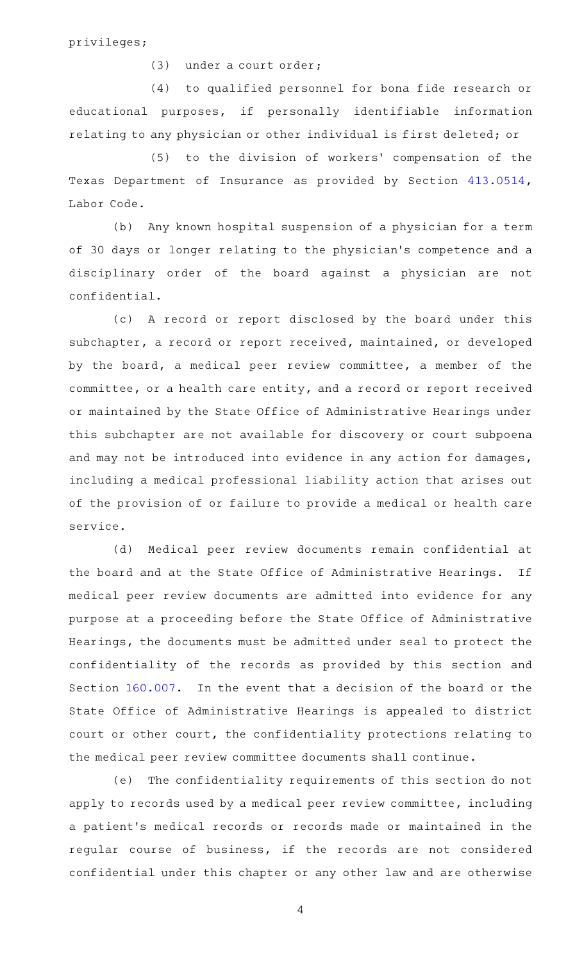privileges;

(3) under a court order;

(4) to qualified personnel for bona fide research or educational purposes, if personally identifiable information relating to any physician or other individual is first deleted; or

(5) to the division of workers' compensation of the Texas Department of Insurance as provided by Section [413.0514](http://www.statutes.legis.state.tx.us/GetStatute.aspx?Code=LA&Value=413.0514), Labor Code.

(b) Any known hospital suspension of a physician for a term of 30 days or longer relating to the physician 's competence and a disciplinary order of the board against a physician are not confidential.

(c)AAA record or report disclosed by the board under this subchapter, a record or report received, maintained, or developed by the board, a medical peer review committee, a member of the committee, or a health care entity, and a record or report received or maintained by the State Office of Administrative Hearings under this subchapter are not available for discovery or court subpoena and may not be introduced into evidence in any action for damages, including a medical professional liability action that arises out of the provision of or failure to provide a medical or health care service.

(d) Medical peer review documents remain confidential at the board and at the State Office of Administrative Hearings. If medical peer review documents are admitted into evidence for any purpose at a proceeding before the State Office of Administrative Hearings, the documents must be admitted under seal to protect the confidentiality of the records as provided by this section and Section [160.007](http://www.statutes.legis.state.tx.us/GetStatute.aspx?Code=OC&Value=160.007). In the event that a decision of the board or the State Office of Administrative Hearings is appealed to district court or other court, the confidentiality protections relating to the medical peer review committee documents shall continue.

(e) The confidentiality requirements of this section do not apply to records used by a medical peer review committee, including a patient 's medical records or records made or maintained in the regular course of business, if the records are not considered confidential under this chapter or any other law and are otherwise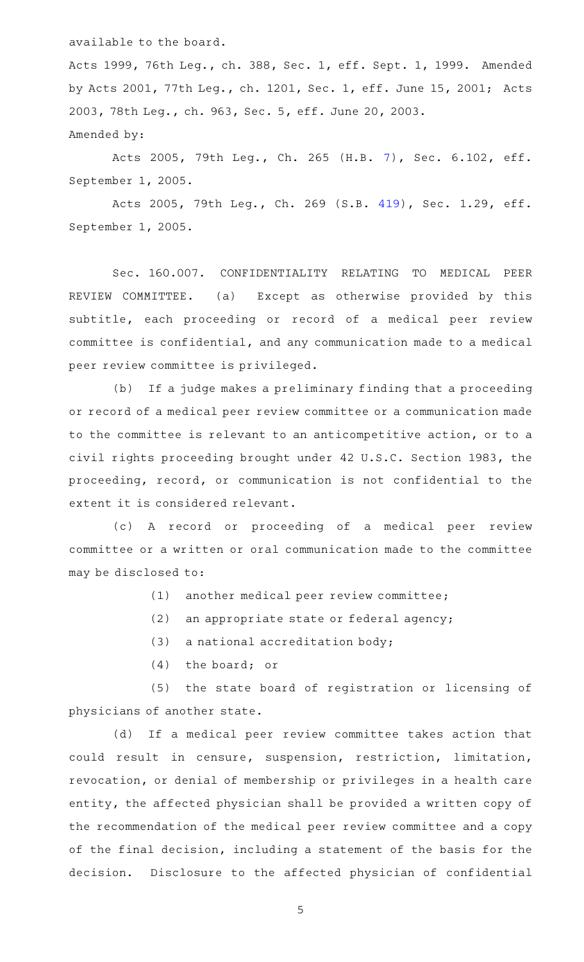available to the board.

Acts 1999, 76th Leg., ch. 388, Sec. 1, eff. Sept. 1, 1999. Amended by Acts 2001, 77th Leg., ch. 1201, Sec. 1, eff. June 15, 2001; Acts 2003, 78th Leg., ch. 963, Sec. 5, eff. June 20, 2003. Amended by:

Acts 2005, 79th Leg., Ch. 265 (H.B. [7](http://www.legis.state.tx.us/tlodocs/79R/billtext/html/HB00007F.HTM)), Sec. 6.102, eff. September 1, 2005.

Acts 2005, 79th Leg., Ch. 269 (S.B. [419](http://www.legis.state.tx.us/tlodocs/79R/billtext/html/SB00419F.HTM)), Sec. 1.29, eff. September 1, 2005.

Sec. 160.007. CONFIDENTIALITY RELATING TO MEDICAL PEER REVIEW COMMITTEE. (a) Except as otherwise provided by this subtitle, each proceeding or record of a medical peer review committee is confidential, and any communication made to a medical peer review committee is privileged.

(b) If a judge makes a preliminary finding that a proceeding or record of a medical peer review committee or a communication made to the committee is relevant to an anticompetitive action, or to a civil rights proceeding brought under 42 U.S.C. Section 1983, the proceeding, record, or communication is not confidential to the extent it is considered relevant.

(c)AAA record or proceeding of a medical peer review committee or a written or oral communication made to the committee may be disclosed to:

- $(1)$  another medical peer review committee;
- $(2)$  an appropriate state or federal agency;
- $(3)$  a national accreditation body;
- $(4)$  the board; or

(5) the state board of registration or licensing of physicians of another state.

(d) If a medical peer review committee takes action that could result in censure, suspension, restriction, limitation, revocation, or denial of membership or privileges in a health care entity, the affected physician shall be provided a written copy of the recommendation of the medical peer review committee and a copy of the final decision, including a statement of the basis for the decision. Disclosure to the affected physician of confidential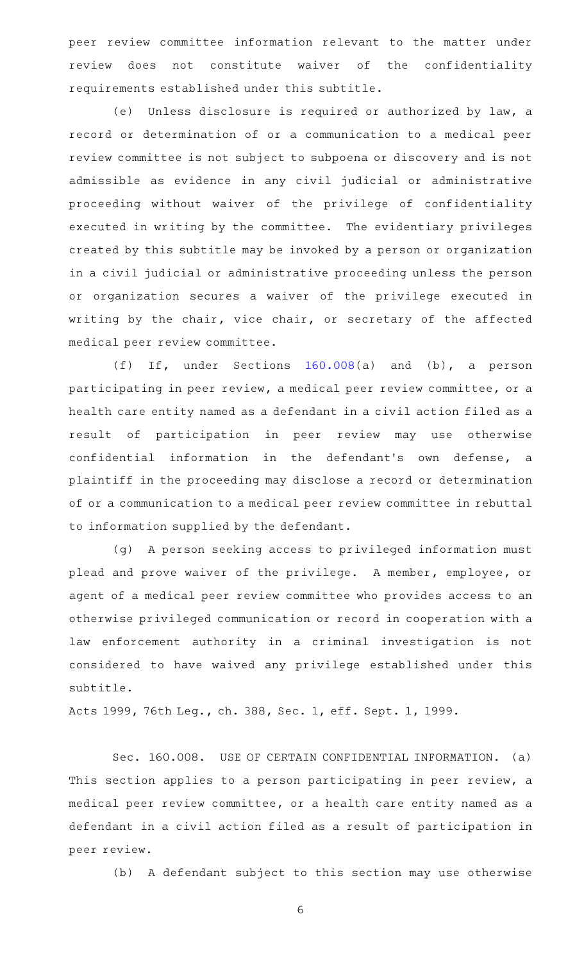peer review committee information relevant to the matter under review does not constitute waiver of the confidentiality requirements established under this subtitle.

(e) Unless disclosure is required or authorized by law, a record or determination of or a communication to a medical peer review committee is not subject to subpoena or discovery and is not admissible as evidence in any civil judicial or administrative proceeding without waiver of the privilege of confidentiality executed in writing by the committee. The evidentiary privileges created by this subtitle may be invoked by a person or organization in a civil judicial or administrative proceeding unless the person or organization secures a waiver of the privilege executed in writing by the chair, vice chair, or secretary of the affected medical peer review committee.

(f) If, under Sections  $160.008(a)$  $160.008(a)$  and (b), a person participating in peer review, a medical peer review committee, or a health care entity named as a defendant in a civil action filed as a result of participation in peer review may use otherwise confidential information in the defendant 's own defense, a plaintiff in the proceeding may disclose a record or determination of or a communication to a medical peer review committee in rebuttal to information supplied by the defendant.

(g) A person seeking access to privileged information must plead and prove waiver of the privilege. A member, employee, or agent of a medical peer review committee who provides access to an otherwise privileged communication or record in cooperation with a law enforcement authority in a criminal investigation is not considered to have waived any privilege established under this subtitle.

Acts 1999, 76th Leg., ch. 388, Sec. 1, eff. Sept. 1, 1999.

Sec. 160.008. USE OF CERTAIN CONFIDENTIAL INFORMATION. (a) This section applies to a person participating in peer review, a medical peer review committee, or a health care entity named as a defendant in a civil action filed as a result of participation in peer review.

(b) A defendant subject to this section may use otherwise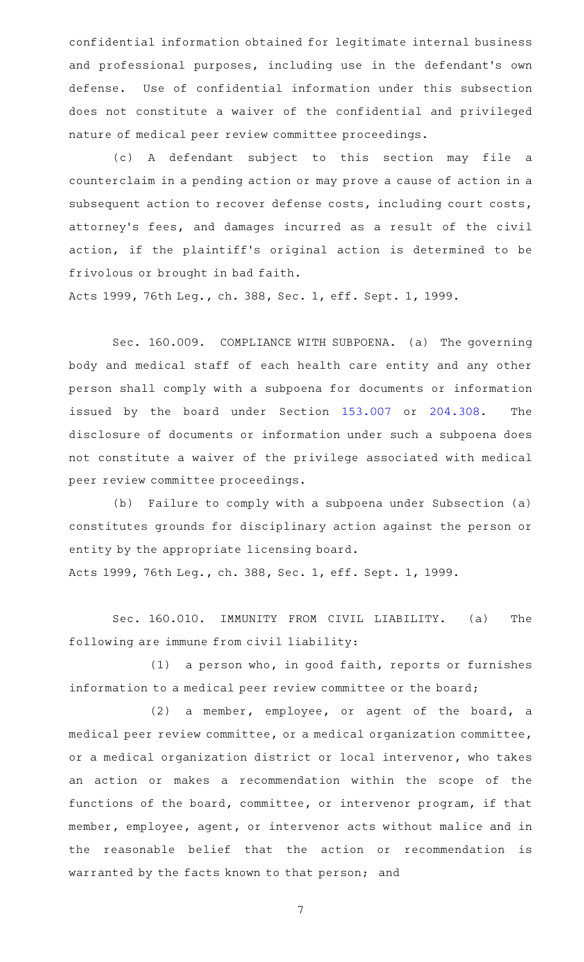confidential information obtained for legitimate internal business and professional purposes, including use in the defendant 's own defense. Use of confidential information under this subsection does not constitute a waiver of the confidential and privileged nature of medical peer review committee proceedings.

(c)AAA defendant subject to this section may file a counterclaim in a pending action or may prove a cause of action in a subsequent action to recover defense costs, including court costs, attorney's fees, and damages incurred as a result of the civil action, if the plaintiff's original action is determined to be frivolous or brought in bad faith.

Acts 1999, 76th Leg., ch. 388, Sec. 1, eff. Sept. 1, 1999.

Sec. 160.009. COMPLIANCE WITH SUBPOENA. (a) The governing body and medical staff of each health care entity and any other person shall comply with a subpoena for documents or information issued by the board under Section [153.007](http://www.statutes.legis.state.tx.us/GetStatute.aspx?Code=OC&Value=153.007) or [204.308](http://www.statutes.legis.state.tx.us/GetStatute.aspx?Code=OC&Value=204.308). The disclosure of documents or information under such a subpoena does not constitute a waiver of the privilege associated with medical peer review committee proceedings.

(b) Failure to comply with a subpoena under Subsection (a) constitutes grounds for disciplinary action against the person or entity by the appropriate licensing board.

Acts 1999, 76th Leg., ch. 388, Sec. 1, eff. Sept. 1, 1999.

Sec. 160.010. IMMUNITY FROM CIVIL LIABILITY. (a) The following are immune from civil liability:

 $(1)$  a person who, in good faith, reports or furnishes information to a medical peer review committee or the board;

(2) a member, employee, or agent of the board, a medical peer review committee, or a medical organization committee, or a medical organization district or local intervenor, who takes an action or makes a recommendation within the scope of the functions of the board, committee, or intervenor program, if that member, employee, agent, or intervenor acts without malice and in the reasonable belief that the action or recommendation is warranted by the facts known to that person; and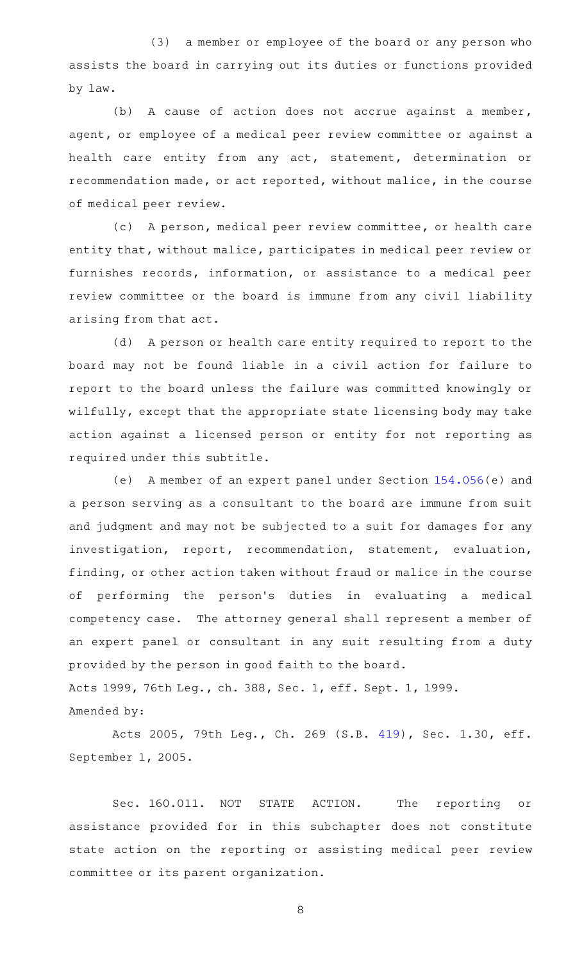(3) a member or employee of the board or any person who assists the board in carrying out its duties or functions provided by law.

(b) A cause of action does not accrue against a member, agent, or employee of a medical peer review committee or against a health care entity from any act, statement, determination or recommendation made, or act reported, without malice, in the course of medical peer review.

(c) A person, medical peer review committee, or health care entity that, without malice, participates in medical peer review or furnishes records, information, or assistance to a medical peer review committee or the board is immune from any civil liability arising from that act.

(d) A person or health care entity required to report to the board may not be found liable in a civil action for failure to report to the board unless the failure was committed knowingly or wilfully, except that the appropriate state licensing body may take action against a licensed person or entity for not reporting as required under this subtitle.

(e) A member of an expert panel under Section  $154.056(e)$  $154.056(e)$  and a person serving as a consultant to the board are immune from suit and judgment and may not be subjected to a suit for damages for any investigation, report, recommendation, statement, evaluation, finding, or other action taken without fraud or malice in the course of performing the person 's duties in evaluating a medical competency case. The attorney general shall represent a member of an expert panel or consultant in any suit resulting from a duty provided by the person in good faith to the board. Acts 1999, 76th Leg., ch. 388, Sec. 1, eff. Sept. 1, 1999. Amended by:

Acts 2005, 79th Leg., Ch. 269 (S.B. [419](http://www.legis.state.tx.us/tlodocs/79R/billtext/html/SB00419F.HTM)), Sec. 1.30, eff. September 1, 2005.

Sec. 160.011. NOT STATE ACTION. The reporting or assistance provided for in this subchapter does not constitute state action on the reporting or assisting medical peer review committee or its parent organization.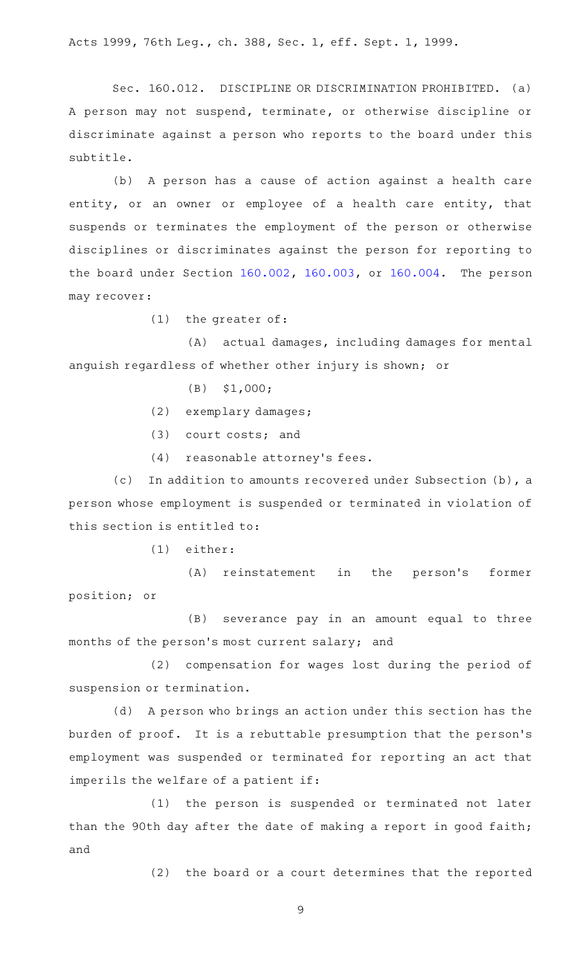Acts 1999, 76th Leg., ch. 388, Sec. 1, eff. Sept. 1, 1999.

Sec. 160.012. DISCIPLINE OR DISCRIMINATION PROHIBITED. (a) A person may not suspend, terminate, or otherwise discipline or discriminate against a person who reports to the board under this subtitle.

(b) A person has a cause of action against a health care entity, or an owner or employee of a health care entity, that suspends or terminates the employment of the person or otherwise disciplines or discriminates against the person for reporting to the board under Section [160.002](http://www.statutes.legis.state.tx.us/GetStatute.aspx?Code=OC&Value=160.002), [160.003,](http://www.statutes.legis.state.tx.us/GetStatute.aspx?Code=OC&Value=160.003) or [160.004](http://www.statutes.legis.state.tx.us/GetStatute.aspx?Code=OC&Value=160.004). The person may recover:

 $(1)$  the greater of:

(A) actual damages, including damages for mental anguish regardless of whether other injury is shown; or

- $(B)$  \$1,000;
- (2) exemplary damages;
- $(3)$  court costs; and
- $(4)$  reasonable attorney's fees.

(c) In addition to amounts recovered under Subsection  $(b)$ , a person whose employment is suspended or terminated in violation of this section is entitled to:

 $(1)$  either:

(A) reinstatement in the person's former position; or

(B) severance pay in an amount equal to three months of the person 's most current salary; and

(2) compensation for wages lost during the period of suspension or termination.

(d) A person who brings an action under this section has the burden of proof. It is a rebuttable presumption that the person 's employment was suspended or terminated for reporting an act that imperils the welfare of a patient if:

(1) the person is suspended or terminated not later than the 90th day after the date of making a report in good faith; and

(2) the board or a court determines that the reported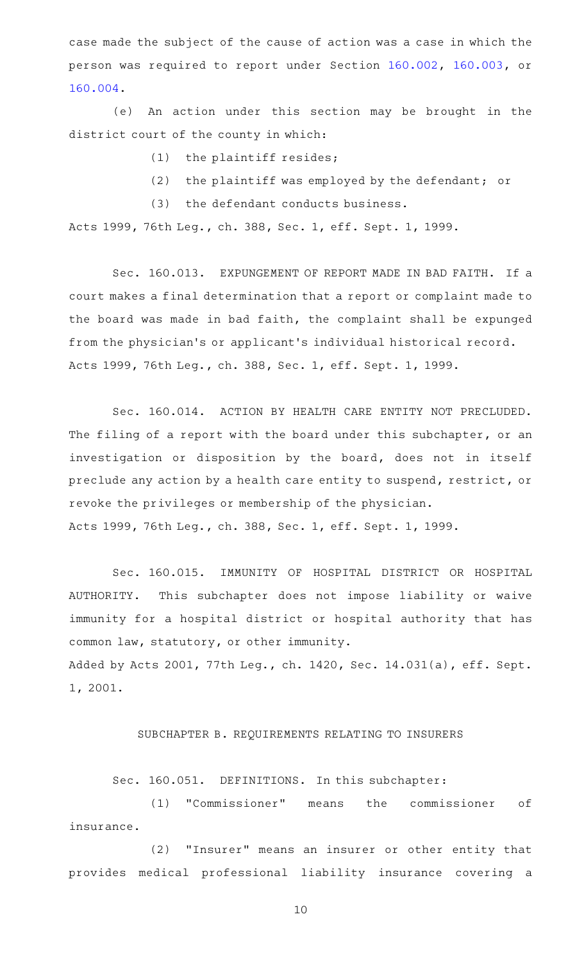case made the subject of the cause of action was a case in which the person was required to report under Section [160.002](http://www.statutes.legis.state.tx.us/GetStatute.aspx?Code=OC&Value=160.002), [160.003](http://www.statutes.legis.state.tx.us/GetStatute.aspx?Code=OC&Value=160.003), or [160.004.](http://www.statutes.legis.state.tx.us/GetStatute.aspx?Code=OC&Value=160.004)

(e) An action under this section may be brought in the district court of the county in which:

 $(1)$  the plaintiff resides;

 $(2)$  the plaintiff was employed by the defendant; or

(3) the defendant conducts business.

Acts 1999, 76th Leg., ch. 388, Sec. 1, eff. Sept. 1, 1999.

Sec. 160.013. EXPUNGEMENT OF REPORT MADE IN BAD FAITH. If a court makes a final determination that a report or complaint made to the board was made in bad faith, the complaint shall be expunged from the physician 's or applicant 's individual historical record. Acts 1999, 76th Leg., ch. 388, Sec. 1, eff. Sept. 1, 1999.

Sec. 160.014. ACTION BY HEALTH CARE ENTITY NOT PRECLUDED. The filing of a report with the board under this subchapter, or an investigation or disposition by the board, does not in itself preclude any action by a health care entity to suspend, restrict, or revoke the privileges or membership of the physician. Acts 1999, 76th Leg., ch. 388, Sec. 1, eff. Sept. 1, 1999.

Sec. 160.015. IMMUNITY OF HOSPITAL DISTRICT OR HOSPITAL AUTHORITY. This subchapter does not impose liability or waive immunity for a hospital district or hospital authority that has common law, statutory, or other immunity. Added by Acts 2001, 77th Leg., ch. 1420, Sec. 14.031(a), eff. Sept. 1, 2001.

## SUBCHAPTER B. REQUIREMENTS RELATING TO INSURERS

Sec. 160.051. DEFINITIONS. In this subchapter:

(1) "Commissioner" means the commissioner of insurance.

(2) "Insurer" means an insurer or other entity that provides medical professional liability insurance covering a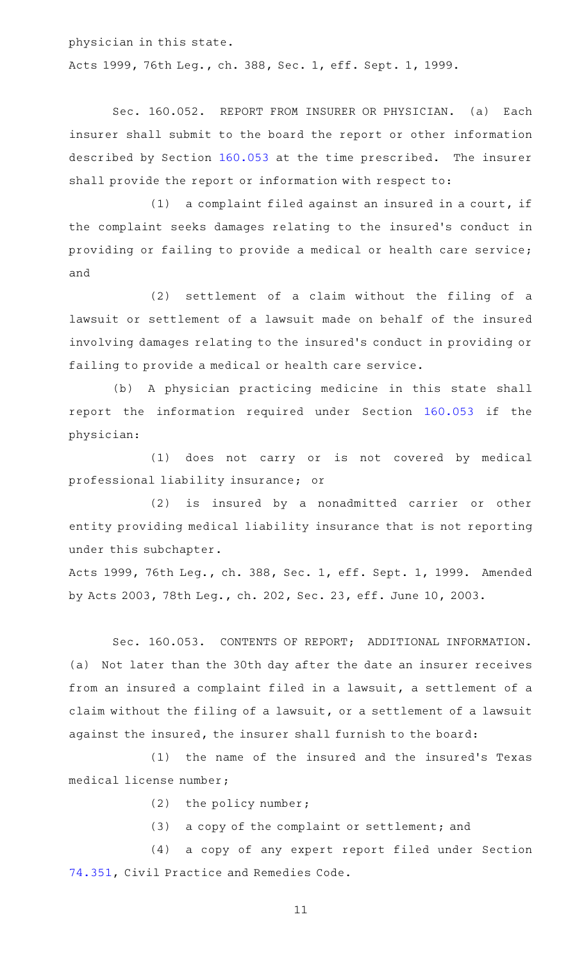physician in this state. Acts 1999, 76th Leg., ch. 388, Sec. 1, eff. Sept. 1, 1999.

Sec. 160.052. REPORT FROM INSURER OR PHYSICIAN. (a) Each insurer shall submit to the board the report or other information described by Section [160.053](http://www.statutes.legis.state.tx.us/GetStatute.aspx?Code=OC&Value=160.053) at the time prescribed. The insurer shall provide the report or information with respect to:

 $(1)$  a complaint filed against an insured in a court, if the complaint seeks damages relating to the insured's conduct in providing or failing to provide a medical or health care service; and

 $(2)$  settlement of a claim without the filing of a lawsuit or settlement of a lawsuit made on behalf of the insured involving damages relating to the insured 's conduct in providing or failing to provide a medical or health care service.

(b) A physician practicing medicine in this state shall report the information required under Section [160.053](http://www.statutes.legis.state.tx.us/GetStatute.aspx?Code=OC&Value=160.053) if the physician:

(1) does not carry or is not covered by medical professional liability insurance; or

(2) is insured by a nonadmitted carrier or other entity providing medical liability insurance that is not reporting under this subchapter.

Acts 1999, 76th Leg., ch. 388, Sec. 1, eff. Sept. 1, 1999. Amended by Acts 2003, 78th Leg., ch. 202, Sec. 23, eff. June 10, 2003.

Sec. 160.053. CONTENTS OF REPORT; ADDITIONAL INFORMATION. (a) Not later than the 30th day after the date an insurer receives from an insured a complaint filed in a lawsuit, a settlement of a claim without the filing of a lawsuit, or a settlement of a lawsuit against the insured, the insurer shall furnish to the board:

(1) the name of the insured and the insured's Texas medical license number;

 $(2)$  the policy number;

(3) a copy of the complaint or settlement; and

(4) a copy of any expert report filed under Section [74.351](http://www.statutes.legis.state.tx.us/GetStatute.aspx?Code=CP&Value=74.351), Civil Practice and Remedies Code.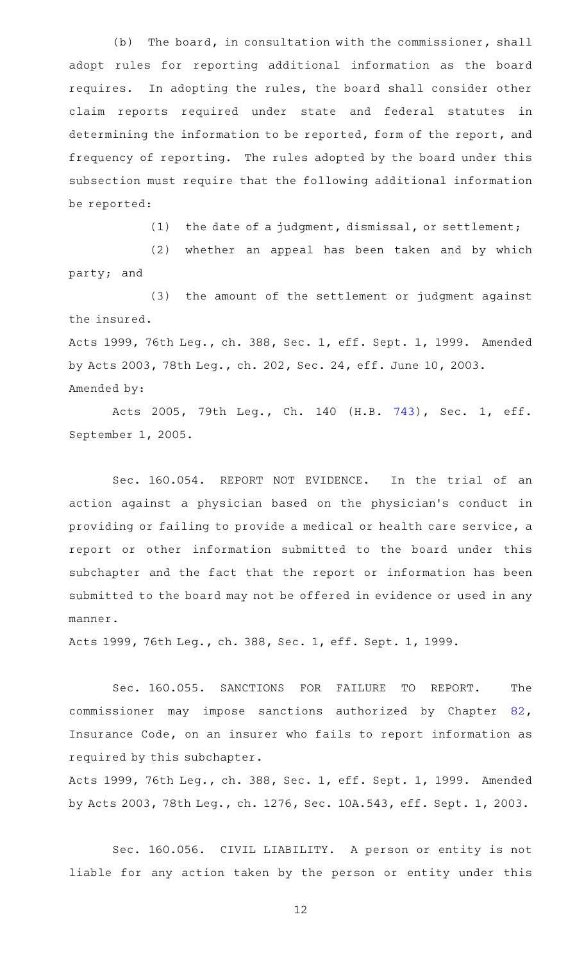(b) The board, in consultation with the commissioner, shall adopt rules for reporting additional information as the board requires. In adopting the rules, the board shall consider other claim reports required under state and federal statutes in determining the information to be reported, form of the report, and frequency of reporting. The rules adopted by the board under this subsection must require that the following additional information be reported:

(1) the date of a judgment, dismissal, or settlement;

(2) whether an appeal has been taken and by which party; and

(3) the amount of the settlement or judgment against the insured.

Acts 1999, 76th Leg., ch. 388, Sec. 1, eff. Sept. 1, 1999. Amended by Acts 2003, 78th Leg., ch. 202, Sec. 24, eff. June 10, 2003. Amended by:

Acts 2005, 79th Leg., Ch. 140 (H.B. [743\)](http://www.legis.state.tx.us/tlodocs/79R/billtext/html/HB00743F.HTM), Sec. 1, eff. September 1, 2005.

Sec. 160.054. REPORT NOT EVIDENCE. In the trial of an action against a physician based on the physician 's conduct in providing or failing to provide a medical or health care service, a report or other information submitted to the board under this subchapter and the fact that the report or information has been submitted to the board may not be offered in evidence or used in any manner.

Acts 1999, 76th Leg., ch. 388, Sec. 1, eff. Sept. 1, 1999.

Sec. 160.055. SANCTIONS FOR FAILURE TO REPORT. The commissioner may impose sanctions authorized by Chapter [82](http://www.statutes.legis.state.tx.us/GetStatute.aspx?Code=IN&Value=82), Insurance Code, on an insurer who fails to report information as required by this subchapter.

Acts 1999, 76th Leg., ch. 388, Sec. 1, eff. Sept. 1, 1999. Amended by Acts 2003, 78th Leg., ch. 1276, Sec. 10A.543, eff. Sept. 1, 2003.

Sec. 160.056. CIVIL LIABILITY. A person or entity is not liable for any action taken by the person or entity under this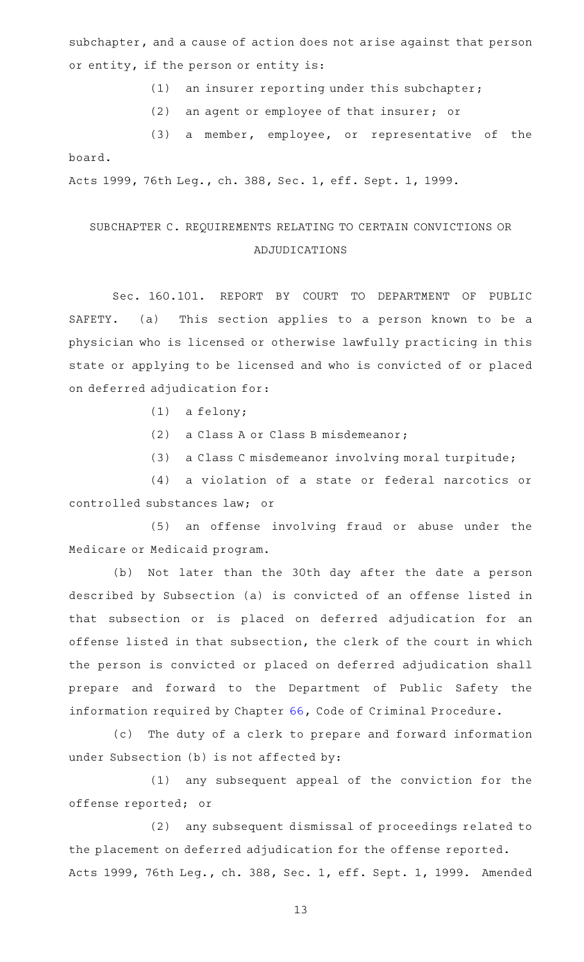subchapter, and a cause of action does not arise against that person or entity, if the person or entity is:

 $(1)$  an insurer reporting under this subchapter;

(2) an agent or employee of that insurer; or

(3) a member, employee, or representative of the board.

Acts 1999, 76th Leg., ch. 388, Sec. 1, eff. Sept. 1, 1999.

## SUBCHAPTER C. REQUIREMENTS RELATING TO CERTAIN CONVICTIONS OR ADJUDICATIONS

Sec. 160.101. REPORT BY COURT TO DEPARTMENT OF PUBLIC SAFETY. (a) This section applies to a person known to be a physician who is licensed or otherwise lawfully practicing in this state or applying to be licensed and who is convicted of or placed on deferred adjudication for:

- $(1)$  a felony;
- (2) a Class A or Class B misdemeanor;

(3) a Class C misdemeanor involving moral turpitude;

(4) a violation of a state or federal narcotics or controlled substances law; or

(5) an offense involving fraud or abuse under the Medicare or Medicaid program.

(b) Not later than the 30th day after the date a person described by Subsection (a) is convicted of an offense listed in that subsection or is placed on deferred adjudication for an offense listed in that subsection, the clerk of the court in which the person is convicted or placed on deferred adjudication shall prepare and forward to the Department of Public Safety the information required by Chapter [66,](http://www.statutes.legis.state.tx.us/GetStatute.aspx?Code=CR&Value=66) Code of Criminal Procedure.

(c) The duty of a clerk to prepare and forward information under Subsection (b) is not affected by:

(1) any subsequent appeal of the conviction for the offense reported; or

(2) any subsequent dismissal of proceedings related to the placement on deferred adjudication for the offense reported. Acts 1999, 76th Leg., ch. 388, Sec. 1, eff. Sept. 1, 1999. Amended